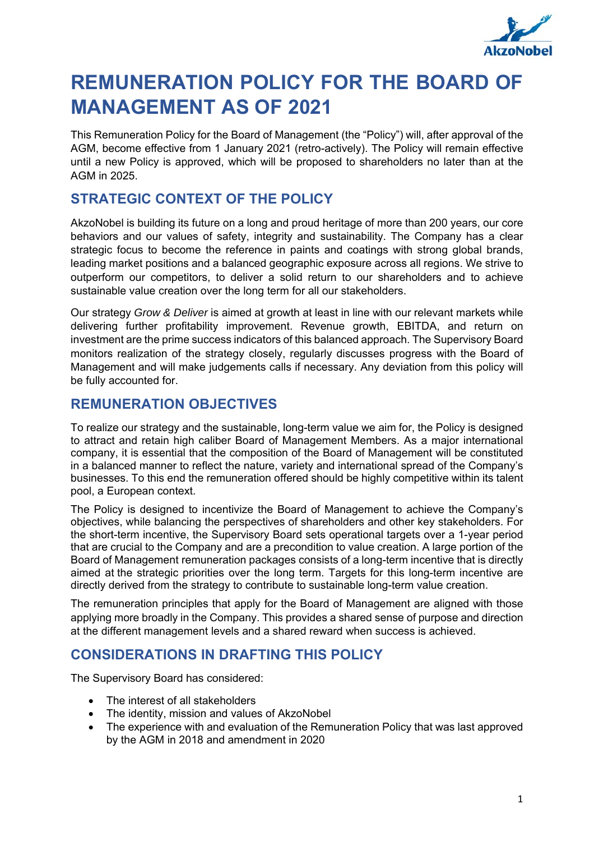

# **REMUNERATION POLICY FOR THE BOARD OF MANAGEMENT AS OF 2021**

This Remuneration Policy for the Board of Management (the "Policy") will, after approval of the AGM, become effective from 1 January 2021 (retro-actively). The Policy will remain effective until a new Policy is approved, which will be proposed to shareholders no later than at the AGM in 2025.

# **STRATEGIC CONTEXT OF THE POLICY**

AkzoNobel is building its future on a long and proud heritage of more than 200 years, our core behaviors and our values of safety, integrity and sustainability. The Company has a clear strategic focus to become the reference in paints and coatings with strong global brands, leading market positions and a balanced geographic exposure across all regions. We strive to outperform our competitors, to deliver a solid return to our shareholders and to achieve sustainable value creation over the long term for all our stakeholders.

Our strategy *Grow & Deliver* is aimed at growth at least in line with our relevant markets while delivering further profitability improvement. Revenue growth, EBITDA, and return on investment are the prime success indicators of this balanced approach. The Supervisory Board monitors realization of the strategy closely, regularly discusses progress with the Board of Management and will make judgements calls if necessary. Any deviation from this policy will be fully accounted for.

# **REMUNERATION OBJECTIVES**

To realize our strategy and the sustainable, long-term value we aim for, the Policy is designed to attract and retain high caliber Board of Management Members. As a major international company, it is essential that the composition of the Board of Management will be constituted in a balanced manner to reflect the nature, variety and international spread of the Company's businesses. To this end the remuneration offered should be highly competitive within its talent pool, a European context.

The Policy is designed to incentivize the Board of Management to achieve the Company's objectives, while balancing the perspectives of shareholders and other key stakeholders. For the short-term incentive, the Supervisory Board sets operational targets over a 1-year period that are crucial to the Company and are a precondition to value creation. A large portion of the Board of Management remuneration packages consists of a long-term incentive that is directly aimed at the strategic priorities over the long term. Targets for this long-term incentive are directly derived from the strategy to contribute to sustainable long-term value creation.

The remuneration principles that apply for the Board of Management are aligned with those applying more broadly in the Company. This provides a shared sense of purpose and direction at the different management levels and a shared reward when success is achieved.

# **CONSIDERATIONS IN DRAFTING THIS POLICY**

The Supervisory Board has considered:

- The interest of all stakeholders
- The identity, mission and values of AkzoNobel
- The experience with and evaluation of the Remuneration Policy that was last approved by the AGM in 2018 and amendment in 2020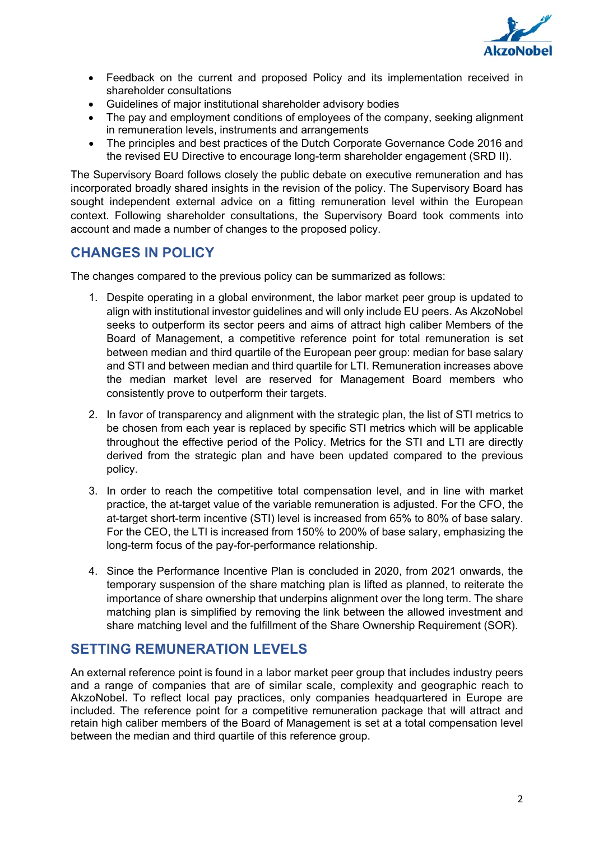

- Feedback on the current and proposed Policy and its implementation received in shareholder consultations
- Guidelines of major institutional shareholder advisory bodies
- The pay and employment conditions of employees of the company, seeking alignment in remuneration levels, instruments and arrangements
- The principles and best practices of the Dutch Corporate Governance Code 2016 and the revised EU Directive to encourage long-term shareholder engagement (SRD II).

The Supervisory Board follows closely the public debate on executive remuneration and has incorporated broadly shared insights in the revision of the policy. The Supervisory Board has sought independent external advice on a fitting remuneration level within the European context. Following shareholder consultations, the Supervisory Board took comments into account and made a number of changes to the proposed policy.

# **CHANGES IN POLICY**

The changes compared to the previous policy can be summarized as follows:

- 1. Despite operating in a global environment, the labor market peer group is updated to align with institutional investor guidelines and will only include EU peers. As AkzoNobel seeks to outperform its sector peers and aims of attract high caliber Members of the Board of Management, a competitive reference point for total remuneration is set between median and third quartile of the European peer group: median for base salary and STI and between median and third quartile for LTI. Remuneration increases above the median market level are reserved for Management Board members who consistently prove to outperform their targets.
- 2. In favor of transparency and alignment with the strategic plan, the list of STI metrics to be chosen from each year is replaced by specific STI metrics which will be applicable throughout the effective period of the Policy. Metrics for the STI and LTI are directly derived from the strategic plan and have been updated compared to the previous policy.
- 3. In order to reach the competitive total compensation level, and in line with market practice, the at-target value of the variable remuneration is adjusted. For the CFO, the at-target short-term incentive (STI) level is increased from 65% to 80% of base salary. For the CEO, the LTI is increased from 150% to 200% of base salary, emphasizing the long-term focus of the pay-for-performance relationship.
- 4. Since the Performance Incentive Plan is concluded in 2020, from 2021 onwards, the temporary suspension of the share matching plan is lifted as planned, to reiterate the importance of share ownership that underpins alignment over the long term. The share matching plan is simplified by removing the link between the allowed investment and share matching level and the fulfillment of the Share Ownership Requirement (SOR).

# **SETTING REMUNERATION LEVELS**

An external reference point is found in a labor market peer group that includes industry peers and a range of companies that are of similar scale, complexity and geographic reach to AkzoNobel. To reflect local pay practices, only companies headquartered in Europe are included. The reference point for a competitive remuneration package that will attract and retain high caliber members of the Board of Management is set at a total compensation level between the median and third quartile of this reference group.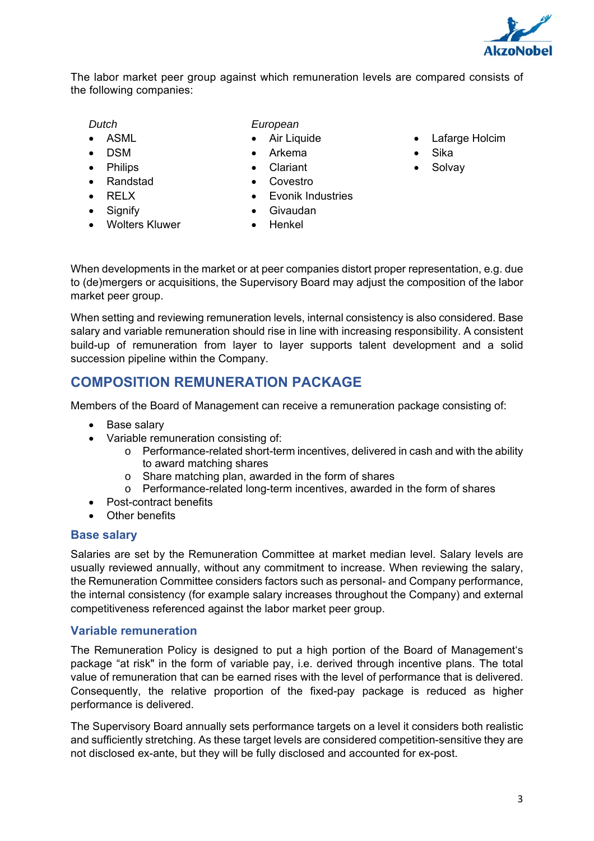

The labor market peer group against which remuneration levels are compared consists of the following companies:

- *Dutch*
- $\bullet$  ASML
- DSM
- **•** Philips
- Randstad
- RELX
- Signify
- Wolters Kluwer
- *European*
- Air Liquide
- Arkema
- Clariant
- Covestro
- Evonik Industries
- Givaudan
- Henkel
- Lafarge Holcim
- Sika
- Solvay

When developments in the market or at peer companies distort proper representation, e.g. due to (de)mergers or acquisitions, the Supervisory Board may adjust the composition of the labor market peer group.

When setting and reviewing remuneration levels, internal consistency is also considered. Base salary and variable remuneration should rise in line with increasing responsibility. A consistent build-up of remuneration from layer to layer supports talent development and a solid succession pipeline within the Company.

# **COMPOSITION REMUNERATION PACKAGE**

Members of the Board of Management can receive a remuneration package consisting of:

- Base salary
- Variable remuneration consisting of:
	- o Performance-related short-term incentives, delivered in cash and with the ability to award matching shares
	- $\circ$  Share matching plan, awarded in the form of shares
	- o Performance-related long-term incentives, awarded in the form of shares
- Post-contract benefits
- Other benefits

## **Base salary**

Salaries are set by the Remuneration Committee at market median level. Salary levels are usually reviewed annually, without any commitment to increase. When reviewing the salary, the Remuneration Committee considers factors such as personal- and Company performance, the internal consistency (for example salary increases throughout the Company) and external competitiveness referenced against the labor market peer group.

## **Variable remuneration**

The Remuneration Policy is designed to put a high portion of the Board of Management's package "at risk" in the form of variable pay, i.e. derived through incentive plans. The total value of remuneration that can be earned rises with the level of performance that is delivered. Consequently, the relative proportion of the fixed-pay package is reduced as higher performance is delivered.

The Supervisory Board annually sets performance targets on a level it considers both realistic and sufficiently stretching. As these target levels are considered competition-sensitive they are not disclosed ex-ante, but they will be fully disclosed and accounted for ex-post.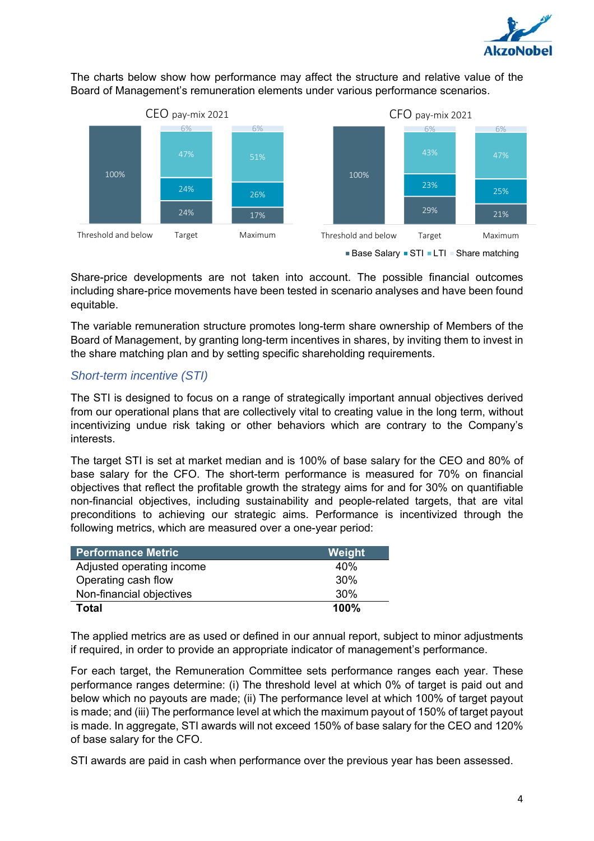

The charts below show how performance may affect the structure and relative value of the Board of Management's remuneration elements under various performance scenarios.



Share-price developments are not taken into account. The possible financial outcomes including share-price movements have been tested in scenario analyses and have been found equitable.

The variable remuneration structure promotes long-term share ownership of Members of the Board of Management, by granting long-term incentives in shares, by inviting them to invest in the share matching plan and by setting specific shareholding requirements.

## *Short-term incentive (STI)*

The STI is designed to focus on a range of strategically important annual objectives derived from our operational plans that are collectively vital to creating value in the long term, without incentivizing undue risk taking or other behaviors which are contrary to the Company's interests.

The target STI is set at market median and is 100% of base salary for the CEO and 80% of base salary for the CFO. The short-term performance is measured for 70% on financial objectives that reflect the profitable growth the strategy aims for and for 30% on quantifiable non-financial objectives, including sustainability and people-related targets, that are vital preconditions to achieving our strategic aims. Performance is incentivized through the following metrics, which are measured over a one-year period:

| <b>Performance Metric</b> | Weight |
|---------------------------|--------|
| Adjusted operating income | 40%    |
| Operating cash flow       | 30%    |
| Non-financial objectives  | 30%    |
| <b>Total</b>              | 100%   |

The applied metrics are as used or defined in our annual report, subject to minor adjustments if required, in order to provide an appropriate indicator of management's performance.

For each target, the Remuneration Committee sets performance ranges each year. These performance ranges determine: (i) The threshold level at which 0% of target is paid out and below which no payouts are made; (ii) The performance level at which 100% of target payout is made; and (iii) The performance level at which the maximum payout of 150% of target payout is made. In aggregate, STI awards will not exceed 150% of base salary for the CEO and 120% of base salary for the CFO.

STI awards are paid in cash when performance over the previous year has been assessed.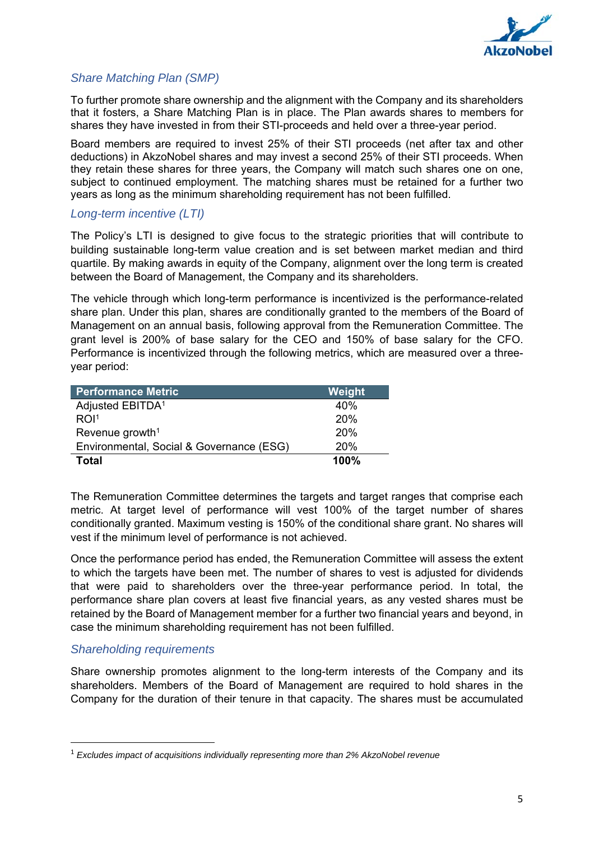

## *Share Matching Plan (SMP)*

To further promote share ownership and the alignment with the Company and its shareholders that it fosters, a Share Matching Plan is in place. The Plan awards shares to members for shares they have invested in from their STI-proceeds and held over a three-year period.

Board members are required to invest 25% of their STI proceeds (net after tax and other deductions) in AkzoNobel shares and may invest a second 25% of their STI proceeds. When they retain these shares for three years, the Company will match such shares one on one, subject to continued employment. The matching shares must be retained for a further two years as long as the minimum shareholding requirement has not been fulfilled.

## *Long-term incentive (LTI)*

The Policy's LTI is designed to give focus to the strategic priorities that will contribute to building sustainable long-term value creation and is set between market median and third quartile. By making awards in equity of the Company, alignment over the long term is created between the Board of Management, the Company and its shareholders.

The vehicle through which long-term performance is incentivized is the performance-related share plan. Under this plan, shares are conditionally granted to the members of the Board of Management on an annual basis, following approval from the Remuneration Committee. The grant level is 200% of base salary for the CEO and 150% of base salary for the CFO. Performance is incentivized through the following metrics, which are measured over a threeyear period:

| <b>Performance Metric</b>                | Weight |
|------------------------------------------|--------|
| Adjusted EBITDA <sup>1</sup>             | 40%    |
| ROI <sup>1</sup>                         | 20%    |
| Revenue growth <sup>1</sup>              | 20%    |
| Environmental, Social & Governance (ESG) | 20%    |
| Total                                    | 100%   |

The Remuneration Committee determines the targets and target ranges that comprise each metric. At target level of performance will vest 100% of the target number of shares conditionally granted. Maximum vesting is 150% of the conditional share grant. No shares will vest if the minimum level of performance is not achieved.

Once the performance period has ended, the Remuneration Committee will assess the extent to which the targets have been met. The number of shares to vest is adjusted for dividends that were paid to shareholders over the three-year performance period. In total, the performance share plan covers at least five financial years, as any vested shares must be retained by the Board of Management member for a further two financial years and beyond, in case the minimum shareholding requirement has not been fulfilled.

## *Shareholding requirements*

Share ownership promotes alignment to the long-term interests of the Company and its shareholders. Members of the Board of Management are required to hold shares in the Company for the duration of their tenure in that capacity. The shares must be accumulated

<sup>1</sup> *Excludes impact of acquisitions individually representing more than 2% AkzoNobel revenue*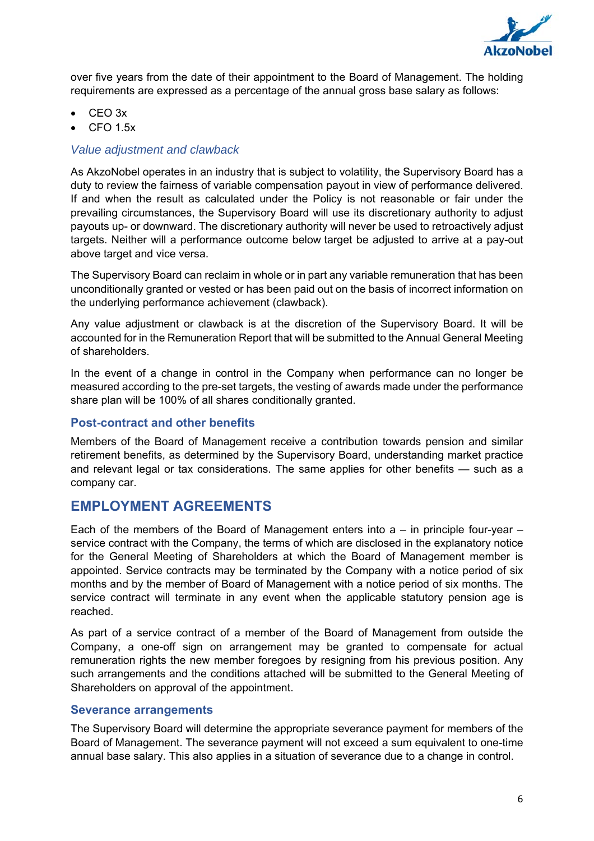

over five years from the date of their appointment to the Board of Management. The holding requirements are expressed as a percentage of the annual gross base salary as follows:

- CEO 3x
- CFO 1.5x

## *Value adjustment and clawback*

As AkzoNobel operates in an industry that is subject to volatility, the Supervisory Board has a duty to review the fairness of variable compensation payout in view of performance delivered. If and when the result as calculated under the Policy is not reasonable or fair under the prevailing circumstances, the Supervisory Board will use its discretionary authority to adjust payouts up- or downward. The discretionary authority will never be used to retroactively adjust targets. Neither will a performance outcome below target be adjusted to arrive at a pay-out above target and vice versa.

The Supervisory Board can reclaim in whole or in part any variable remuneration that has been unconditionally granted or vested or has been paid out on the basis of incorrect information on the underlying performance achievement (clawback).

Any value adjustment or clawback is at the discretion of the Supervisory Board. It will be accounted for in the Remuneration Report that will be submitted to the Annual General Meeting of shareholders.

In the event of a change in control in the Company when performance can no longer be measured according to the pre-set targets, the vesting of awards made under the performance share plan will be 100% of all shares conditionally granted.

## **Post-contract and other benefits**

Members of the Board of Management receive a contribution towards pension and similar retirement benefits, as determined by the Supervisory Board, understanding market practice and relevant legal or tax considerations. The same applies for other benefits — such as a company car.

## **EMPLOYMENT AGREEMENTS**

Each of the members of the Board of Management enters into  $a - in$  principle four-year  $$ service contract with the Company, the terms of which are disclosed in the explanatory notice for the General Meeting of Shareholders at which the Board of Management member is appointed. Service contracts may be terminated by the Company with a notice period of six months and by the member of Board of Management with a notice period of six months. The service contract will terminate in any event when the applicable statutory pension age is reached.

As part of a service contract of a member of the Board of Management from outside the Company, a one-off sign on arrangement may be granted to compensate for actual remuneration rights the new member foregoes by resigning from his previous position. Any such arrangements and the conditions attached will be submitted to the General Meeting of Shareholders on approval of the appointment.

## **Severance arrangements**

The Supervisory Board will determine the appropriate severance payment for members of the Board of Management. The severance payment will not exceed a sum equivalent to one-time annual base salary. This also applies in a situation of severance due to a change in control.